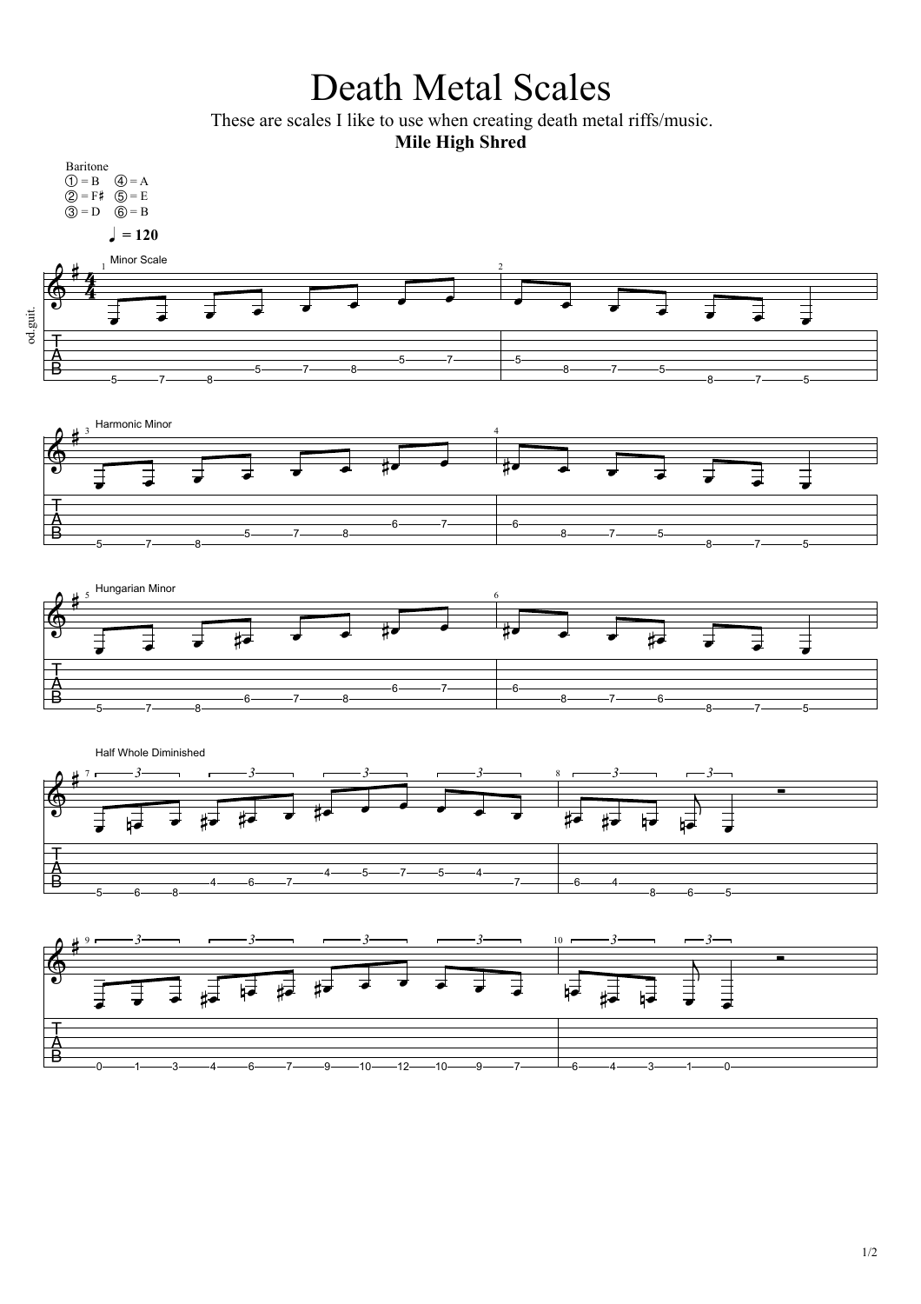## Death Metal Scales

These are scales I like to use when creating death metal riffs/music.